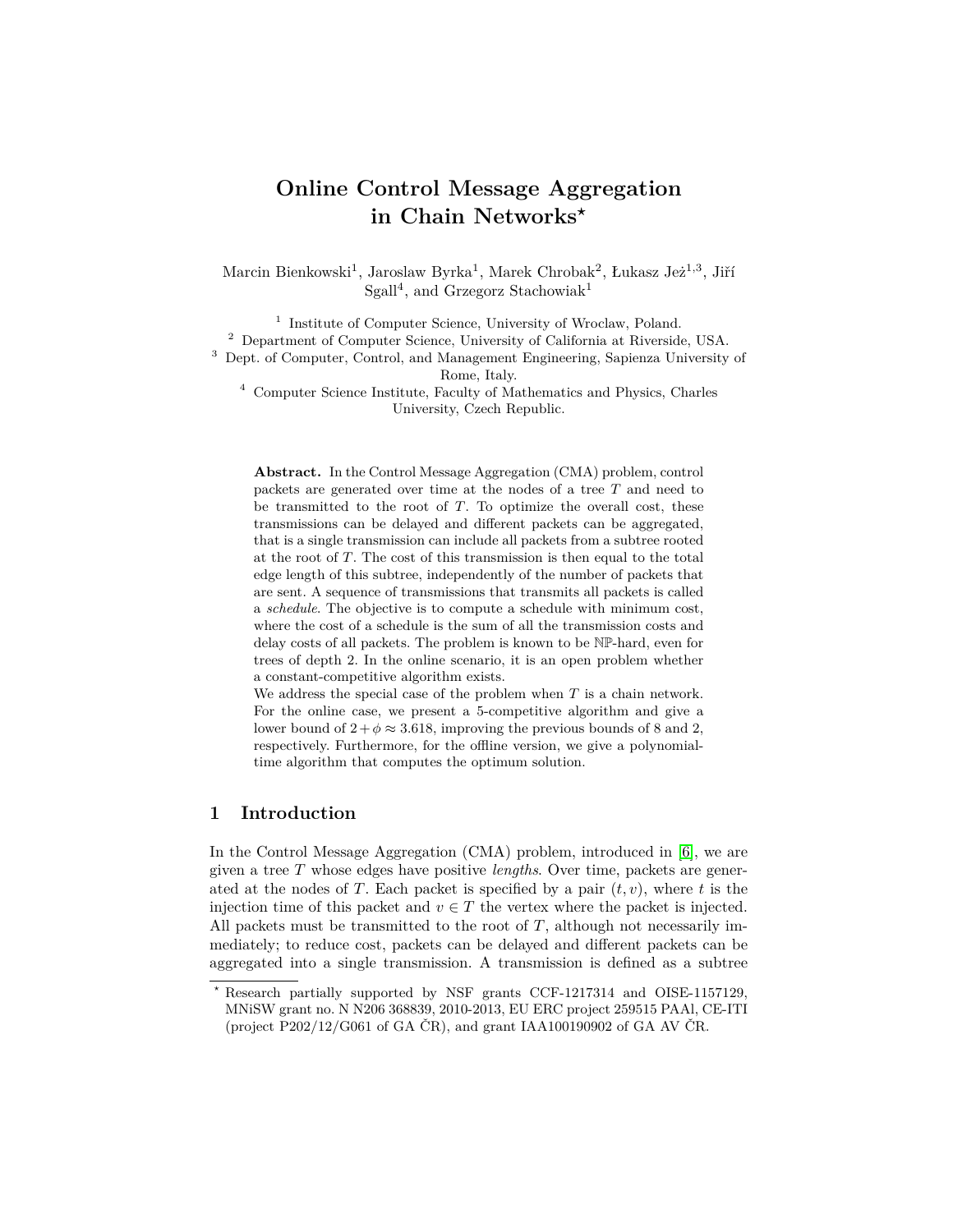# **Online Control Message Aggregation in Chain Networks***?*

Marcin Bienkowski<sup>1</sup>, Jaroslaw Byrka<sup>1</sup>, Marek Chrobak<sup>2</sup>, Łukasz Jeż<sup>1,3</sup>, Jiří Sgall<sup>4</sup>, and Grzegorz Stachowiak<sup>1</sup>

<sup>1</sup> Institute of Computer Science, University of Wroclaw, Poland. <sup>2</sup> Department of Computer Science, University of California at Riverside, USA. <sup>3</sup> Dept. of Computer, Control, and Management Engineering, Sapienza University of Rome, Italy.

 $^4\,$  Computer Science Institute, Faculty of Mathematics and Physics, Charles University, Czech Republic.

**Abstract.** In the Control Message Aggregation (CMA) problem, control packets are generated over time at the nodes of a tree *T* and need to be transmitted to the root of *T*. To optimize the overall cost, these transmissions can be delayed and different packets can be aggregated, that is a single transmission can include all packets from a subtree rooted at the root of *T*. The cost of this transmission is then equal to the total edge length of this subtree, independently of the number of packets that are sent. A sequence of transmissions that transmits all packets is called a *schedule*. The objective is to compute a schedule with minimum cost, where the cost of a schedule is the sum of all the transmission costs and delay costs of all packets. The problem is known to be NP-hard, even for trees of depth 2. In the online scenario, it is an open problem whether a constant-competitive algorithm exists.

We address the special case of the problem when *T* is a chain network. For the online case, we present a 5-competitive algorithm and give a lower bound of  $2 + \phi \approx 3.618$ , improving the previous bounds of 8 and 2, respectively. Furthermore, for the offline version, we give a polynomialtime algorithm that computes the optimum solution.

# **1 Introduction**

In the Control Message Aggregation (CMA) problem, introduced in [\[6\]](#page-11-0), we are given a tree *T* whose edges have positive *lengths*. Over time, packets are generated at the nodes of *T*. Each packet is specified by a pair  $(t, v)$ , where *t* is the injection time of this packet and  $v \in T$  the vertex where the packet is injected. All packets must be transmitted to the root of *T*, although not necessarily immediately; to reduce cost, packets can be delayed and different packets can be aggregated into a single transmission. A transmission is defined as a subtree

*<sup>?</sup>* Research partially supported by NSF grants CCF-1217314 and OISE-1157129, MNiSW grant no. N N206 368839, 2010-2013, EU ERC project 259515 PAAl, CE-ITI (project P202/12/G061 of GA ČR), and grant IAA100190902 of GA AV ČR.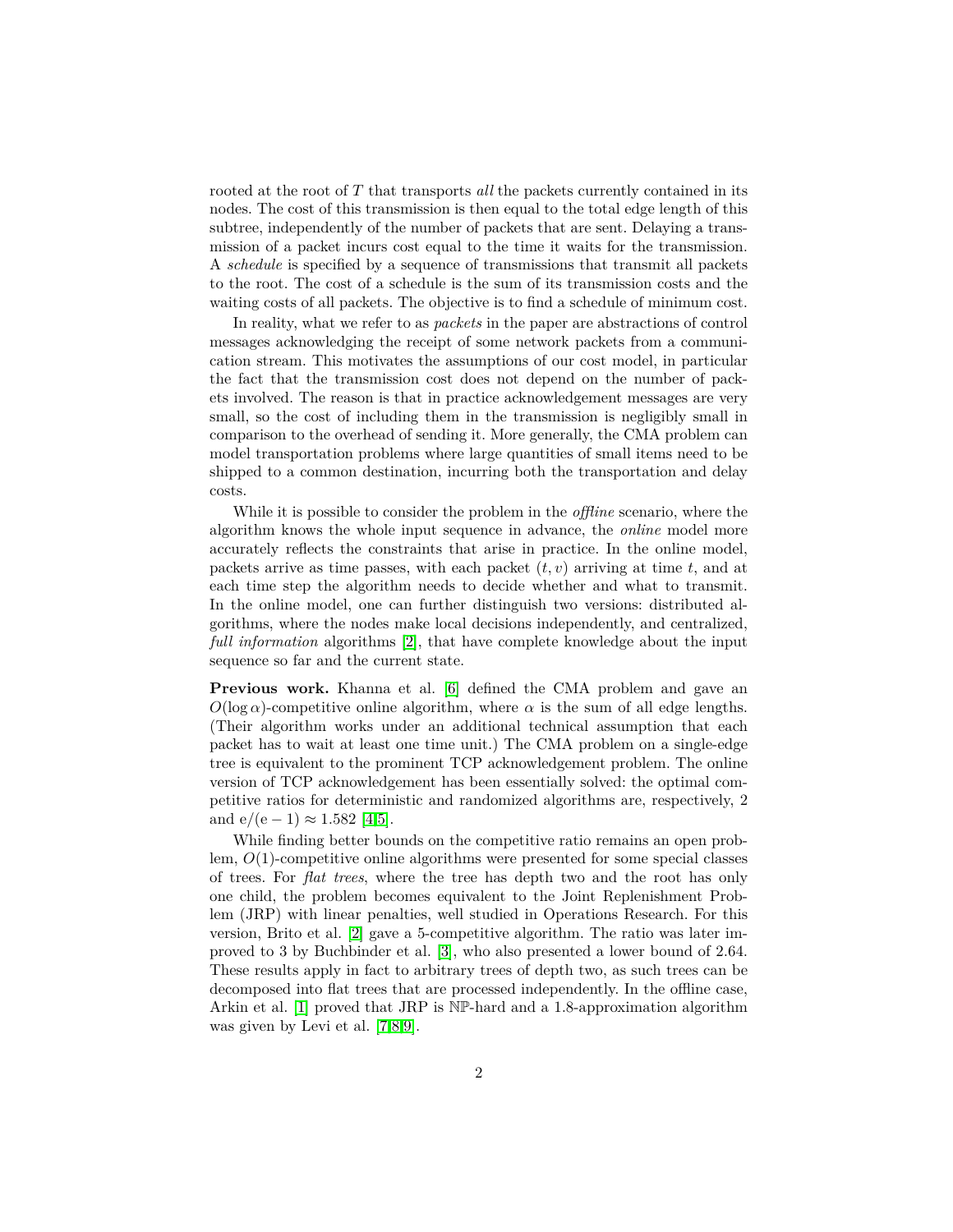rooted at the root of *T* that transports *all* the packets currently contained in its nodes. The cost of this transmission is then equal to the total edge length of this subtree, independently of the number of packets that are sent. Delaying a transmission of a packet incurs cost equal to the time it waits for the transmission. A *schedule* is specified by a sequence of transmissions that transmit all packets to the root. The cost of a schedule is the sum of its transmission costs and the waiting costs of all packets. The objective is to find a schedule of minimum cost.

In reality, what we refer to as *packets* in the paper are abstractions of control messages acknowledging the receipt of some network packets from a communication stream. This motivates the assumptions of our cost model, in particular the fact that the transmission cost does not depend on the number of packets involved. The reason is that in practice acknowledgement messages are very small, so the cost of including them in the transmission is negligibly small in comparison to the overhead of sending it. More generally, the CMA problem can model transportation problems where large quantities of small items need to be shipped to a common destination, incurring both the transportation and delay costs.

While it is possible to consider the problem in the *offline* scenario, where the algorithm knows the whole input sequence in advance, the *online* model more accurately reflects the constraints that arise in practice. In the online model, packets arrive as time passes, with each packet  $(t, v)$  arriving at time  $t$ , and at each time step the algorithm needs to decide whether and what to transmit. In the online model, one can further distinguish two versions: distributed algorithms, where the nodes make local decisions independently, and centralized, *full information* algorithms [\[2\]](#page-10-0), that have complete knowledge about the input sequence so far and the current state.

**Previous work.** Khanna et al. [\[6\]](#page-11-0) defined the CMA problem and gave an  $O(\log \alpha)$ -competitive online algorithm, where  $\alpha$  is the sum of all edge lengths. (Their algorithm works under an additional technical assumption that each packet has to wait at least one time unit.) The CMA problem on a single-edge tree is equivalent to the prominent TCP acknowledgement problem. The online version of TCP acknowledgement has been essentially solved: the optimal competitive ratios for deterministic and randomized algorithms are, respectively, 2 and  $e/(e-1) \approx 1.582$  [\[4,](#page-11-1)[5\]](#page-11-2).

While finding better bounds on the competitive ratio remains an open problem, *O*(1)-competitive online algorithms were presented for some special classes of trees. For *flat trees*, where the tree has depth two and the root has only one child, the problem becomes equivalent to the Joint Replenishment Problem (JRP) with linear penalties, well studied in Operations Research. For this version, Brito et al. [\[2\]](#page-10-0) gave a 5-competitive algorithm. The ratio was later improved to 3 by Buchbinder et al. [\[3\]](#page-11-3), who also presented a lower bound of 2*.*64. These results apply in fact to arbitrary trees of depth two, as such trees can be decomposed into flat trees that are processed independently. In the offline case, Arkin et al. [\[1\]](#page-10-1) proved that JRP is NP-hard and a 1*.*8-approximation algorithm was given by Levi et al. [\[7,](#page-11-4)[8,](#page-11-5)[9\]](#page-11-6).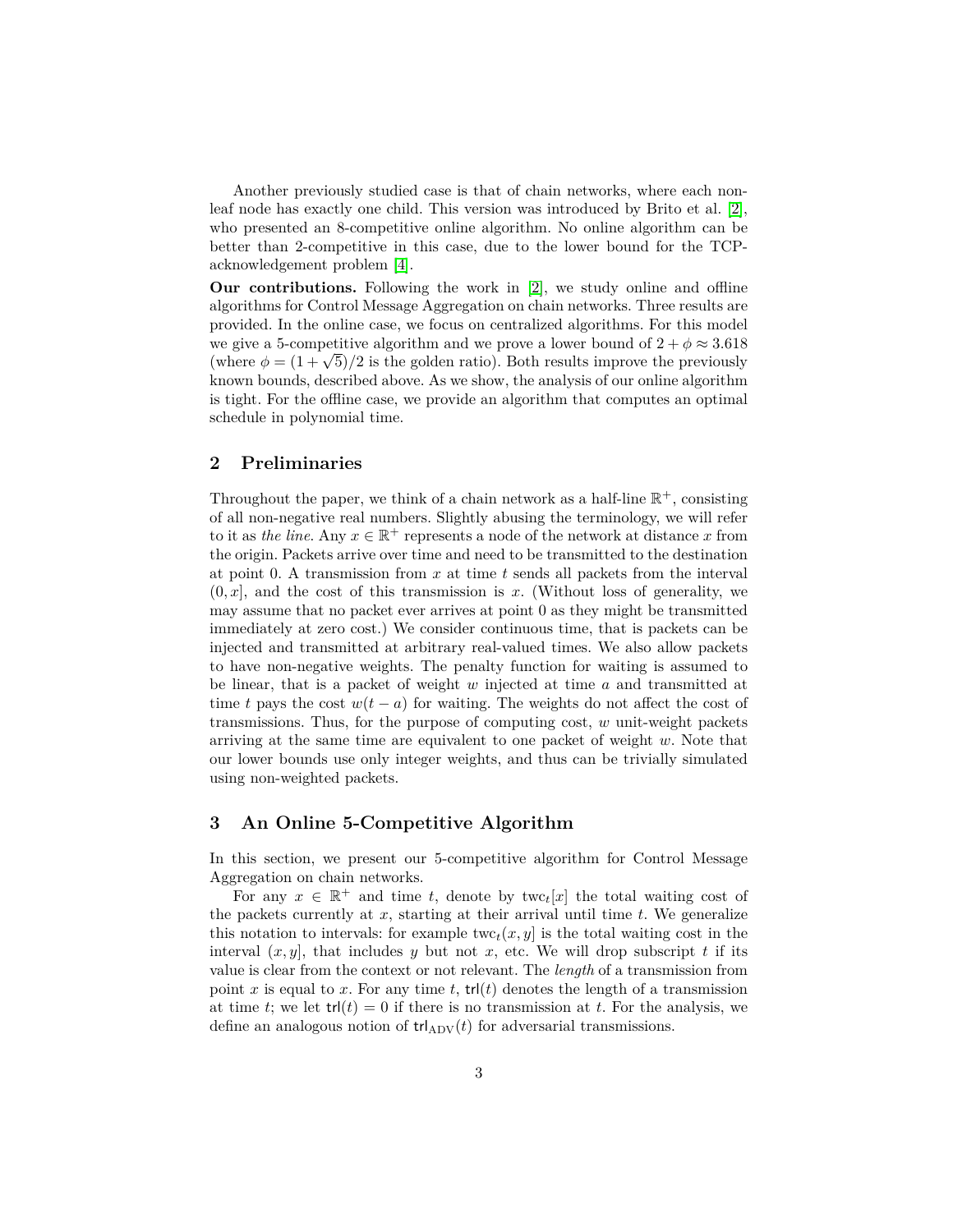Another previously studied case is that of chain networks, where each nonleaf node has exactly one child. This version was introduced by Brito et al. [\[2\]](#page-10-0), who presented an 8-competitive online algorithm. No online algorithm can be better than 2-competitive in this case, due to the lower bound for the TCPacknowledgement problem [\[4\]](#page-11-1).

**Our contributions.** Following the work in [\[2\]](#page-10-0), we study online and offline algorithms for Control Message Aggregation on chain networks. Three results are provided. In the online case, we focus on centralized algorithms. For this model we give a 5-competitive algorithm and we prove a lower bound of  $2 + \phi \approx 3.618$ we give a 3-competitive aigorithm and we prove a lower bound of  $2 + \varphi \approx 3.018$ <br>(where  $\phi = (1 + \sqrt{5})/2$  is the golden ratio). Both results improve the previously known bounds, described above. As we show, the analysis of our online algorithm is tight. For the offline case, we provide an algorithm that computes an optimal schedule in polynomial time.

# **2 Preliminaries**

Throughout the paper, we think of a chain network as a half-line  $\mathbb{R}^+$ , consisting of all non-negative real numbers. Slightly abusing the terminology, we will refer to it as *the line*. Any  $x \in \mathbb{R}^+$  represents a node of the network at distance x from the origin. Packets arrive over time and need to be transmitted to the destination at point 0. A transmission from *x* at time *t* sends all packets from the interval  $(0, x]$ , and the cost of this transmission is x. (Without loss of generality, we may assume that no packet ever arrives at point 0 as they might be transmitted immediately at zero cost.) We consider continuous time, that is packets can be injected and transmitted at arbitrary real-valued times. We also allow packets to have non-negative weights. The penalty function for waiting is assumed to be linear, that is a packet of weight *w* injected at time *a* and transmitted at time *t* pays the cost  $w(t - a)$  for waiting. The weights do not affect the cost of transmissions. Thus, for the purpose of computing cost, *w* unit-weight packets arriving at the same time are equivalent to one packet of weight *w*. Note that our lower bounds use only integer weights, and thus can be trivially simulated using non-weighted packets.

## **3 An Online 5-Competitive Algorithm**

In this section, we present our 5-competitive algorithm for Control Message Aggregation on chain networks.

For any  $x \in \mathbb{R}^+$  and time *t*, denote by two  $t[x]$  the total waiting cost of the packets currently at *x*, starting at their arrival until time *t*. We generalize this notation to intervals: for example  $\text{twc}_t(x, y)$  is the total waiting cost in the interval  $(x, y)$ , that includes y but not x, etc. We will drop subscript t if its value is clear from the context or not relevant. The *length* of a transmission from point x is equal to x. For any time t,  $trl(t)$  denotes the length of a transmission at time *t*; we let  $trl(t) = 0$  if there is no transmission at *t*. For the analysis, we define an analogous notion of  $trl_{ADV}(t)$  for adversarial transmissions.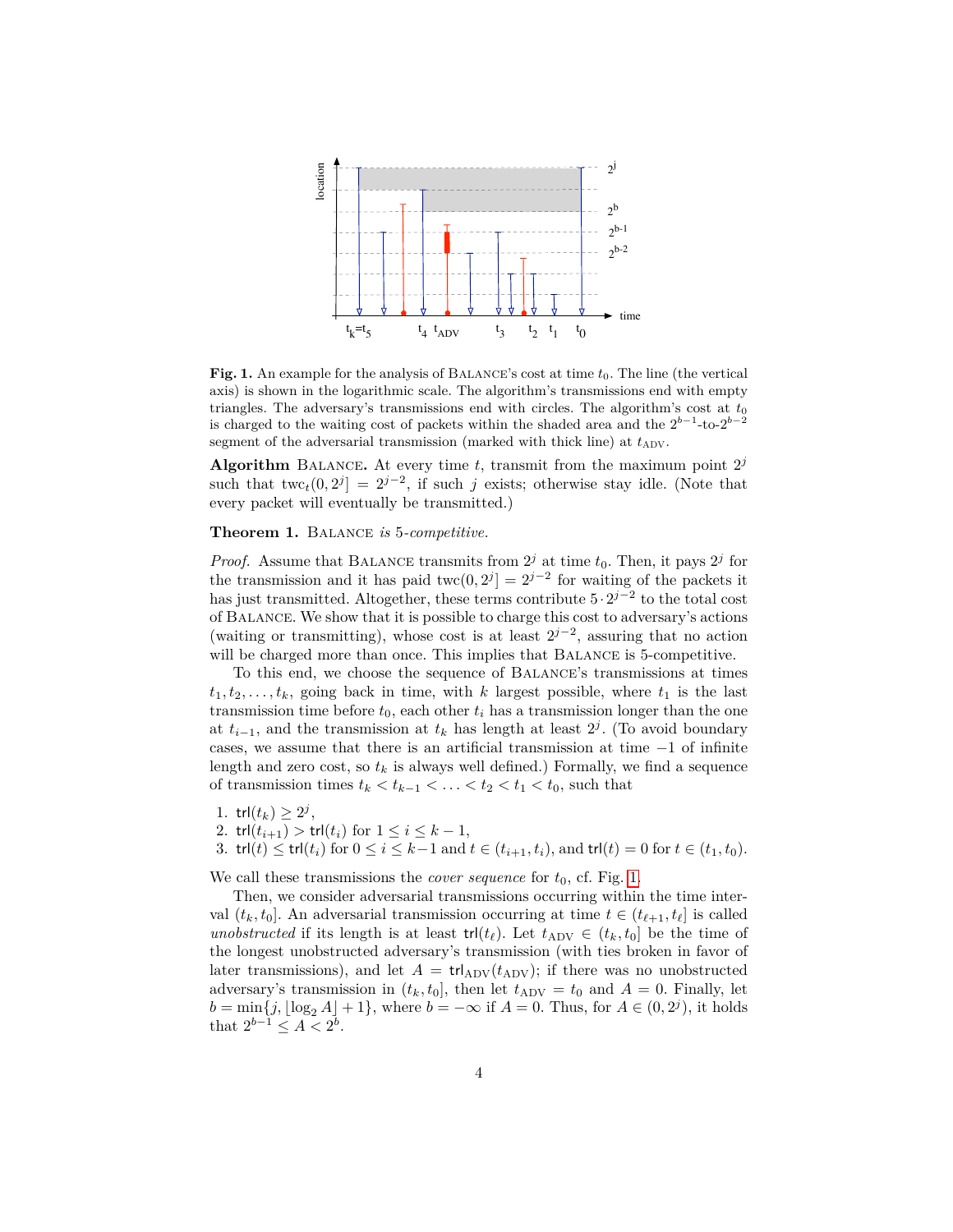

<span id="page-3-0"></span>**Fig. 1.** An example for the analysis of BALANCE's cost at time  $t_0$ . The line (the vertical axis) is shown in the logarithmic scale. The algorithm's transmissions end with empty triangles. The adversary's transmissions end with circles. The algorithm's cost at  $t_0$ is charged to the waiting cost of packets within the shaded area and the  $2^{b-1}$ -to- $2^{b-2}$ segment of the adversarial transmission (marked with thick line) at  $t_{\rm ADV}$ .

Algorithm BALANCE. At every time  $t$ , transmit from the maximum point  $2^{j}$ such that twc<sub>t</sub> $(0, 2^j] = 2^{j-2}$ , if such *j* exists; otherwise stay idle. (Note that every packet will eventually be transmitted.)

**Theorem 1.** Balance *is* 5*-competitive.*

*Proof.* Assume that BALANCE transmits from  $2^{j}$  at time  $t_0$ . Then, it pays  $2^{j}$  for the transmission and it has paid  $\text{twc}(0, 2^j) = 2^{j-2}$  for waiting of the packets it has just transmitted. Altogether, these terms contribute 5·2 *j*−2 to the total cost of Balance. We show that it is possible to charge this cost to adversary's actions (waiting or transmitting), whose cost is at least  $2^{j-2}$ , assuring that no action will be charged more than once. This implies that BALANCE is 5-competitive.

To this end, we choose the sequence of Balance's transmissions at times  $t_1, t_2, \ldots, t_k$ , going back in time, with *k* largest possible, where  $t_1$  is the last transmission time before  $t_0$ , each other  $t_i$  has a transmission longer than the one at  $t_{i-1}$ , and the transmission at  $t_k$  has length at least  $2^j$ . (To avoid boundary cases, we assume that there is an artificial transmission at time −1 of infinite length and zero cost, so  $t_k$  is always well defined.) Formally, we find a sequence of transmission times  $t_k < t_{k-1} < \ldots < t_2 < t_1 < t_0$ , such that

- 1.  $trl(t_k) \geq 2^j$ ,
- 2.  $trl(t_{i+1}) > trl(t_i)$  for  $1 \le i \le k-1$ ,
- 3.  $trl(t) ≤ trl(t<sub>i</sub>)$  for  $0 ≤ i ≤ k-1$  and  $t ∈ (t<sub>i+1</sub>, t<sub>i</sub>),$  and  $trl(t) = 0$  for  $t ∈ (t<sub>1</sub>, t<sub>0</sub>).$

We call these transmissions the *cover sequence* for  $t_0$ , cf. Fig. [1.](#page-3-0)

Then, we consider adversarial transmissions occurring within the time interval  $(t_k, t_0]$ . An adversarial transmission occurring at time  $t \in (t_{\ell+1}, t_{\ell}]$  is called *unobstructed* if its length is at least  $trl(t_\ell)$ . Let  $t_{\text{ADV}} \in (t_k, t_0]$  be the time of the longest unobstructed adversary's transmission (with ties broken in favor of later transmissions), and let  $A = \text{trI}_{\text{ADV}}(t_{\text{ADV}})$ ; if there was no unobstructed adversary's transmission in  $(t_k, t_0]$ , then let  $t_{\text{ADV}} = t_0$  and  $A = 0$ . Finally, let  $b = \min\{j, \lfloor \log_2 A \rfloor + 1\}$ , where  $b = -\infty$  if  $A = 0$ . Thus, for  $A \in (0, 2<sup>j</sup>)$ , it holds that  $2^{b-1} \leq A < 2^b$ .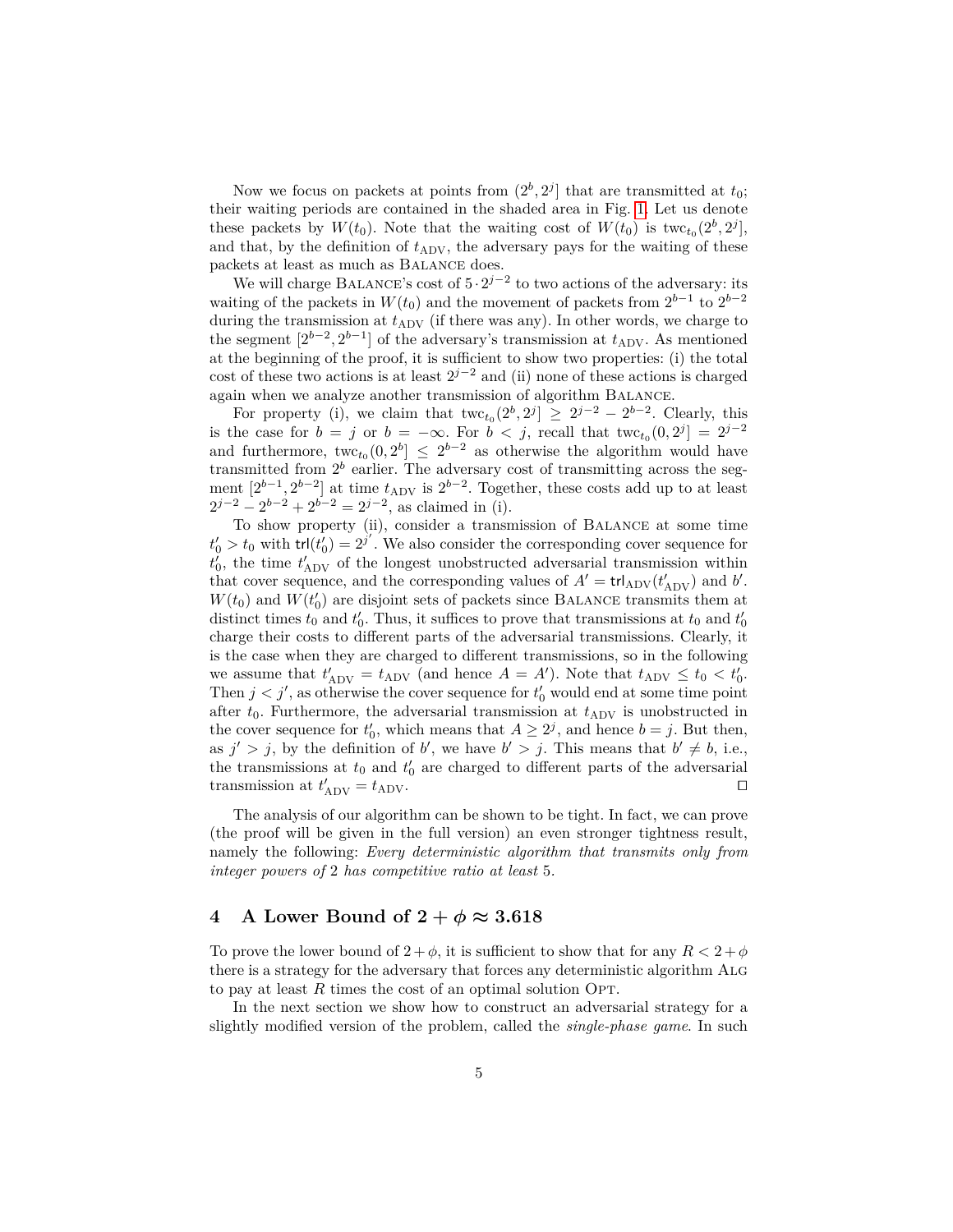Now we focus on packets at points from  $(2^b, 2^j]$  that are transmitted at  $t_0$ ; their waiting periods are contained in the shaded area in Fig. [1.](#page-3-0) Let us denote these packets by  $W(t_0)$ . Note that the waiting cost of  $W(t_0)$  is two  $c_{t_0}(2^b, 2^j)$ , and that, by the definition of  $t_{\rm ADV}$ , the adversary pays for the waiting of these packets at least as much as Balance does.

We will charge BALANCE's cost of  $5 \cdot 2^{j-2}$  to two actions of the adversary: its waiting of the packets in  $W(t_0)$  and the movement of packets from  $2^{b-1}$  to  $2^{b-2}$ during the transmission at  $t_{\rm ADV}$  (if there was any). In other words, we charge to the segment  $[2^{b-2}, 2^{b-1}]$  of the adversary's transmission at  $t_{\rm ADV}$ . As mentioned at the beginning of the proof, it is sufficient to show two properties: (i) the total cost of these two actions is at least  $2^{j-2}$  and (ii) none of these actions is charged again when we analyze another transmission of algorithm Balance.

For property (i), we claim that  $\text{twc}_{t_0}(2^b, 2^j] \geq 2^{j-2} - 2^{b-2}$ . Clearly, this is the case for  $b = j$  or  $b = -\infty$ . For  $b < j$ , recall that two  $t_0(0, 2^j) = 2^{j-2}$ and furthermore,  $\text{twc}_{t_0}(0, 2^b] \leq 2^{b-2}$  as otherwise the algorithm would have transmitted from  $2^b$  earlier. The adversary cost of transmitting across the segment  $[2^{b-1}, 2^{b-2}]$  at time  $t_{\rm ADV}$  is  $2^{b-2}$ . Together, these costs add up to at least  $2^{j-2} - 2^{b-2} + 2^{b-2} = 2^{j-2}$ , as claimed in (i).

To show property (ii), consider a transmission of Balance at some time  $t'_0 > t_0$  with  $tr(t'_0) = 2^{j'}$ . We also consider the corresponding cover sequence for  $t'_0$ , the time  $t'_{\text{ADV}}$  of the longest unobstructed adversarial transmission within that cover sequence, and the corresponding values of  $A' = \text{tr} I_{\text{ADV}}(t'_{\text{ADV}})$  and *b'*.  $W(t_0)$  and  $W(t'_0)$  are disjoint sets of packets since BALANCE transmits them at distinct times  $t_0$  and  $t'_0$ . Thus, it suffices to prove that transmissions at  $t_0$  and  $t'_0$ charge their costs to different parts of the adversarial transmissions. Clearly, it is the case when they are charged to different transmissions, so in the following we assume that  $t'_{\text{ADV}} = t_{\text{ADV}}$  (and hence  $A = A'$ ). Note that  $t_{\text{ADV}} \le t_0 < t'_0$ . Then  $j < j'$ , as otherwise the cover sequence for  $t'_{0}$  would end at some time point after  $t_0$ . Furthermore, the adversarial transmission at  $t_{\rm ADV}$  is unobstructed in the cover sequence for  $t'_0$ , which means that  $A \geq 2^j$ , and hence  $b = j$ . But then, as  $j' > j$ , by the definition of *b*', we have  $b' > j$ . This means that  $b' \neq b$ , i.e., the transmissions at  $t_0$  and  $t'_0$  are charged to different parts of the adversarial transmission at  $t'_{\text{ADV}} = t_{\text{ADV}}$ .

The analysis of our algorithm can be shown to be tight. In fact, we can prove (the proof will be given in the full version) an even stronger tightness result, namely the following: *Every deterministic algorithm that transmits only from integer powers of* 2 *has competitive ratio at least* 5*.*

# <span id="page-4-0"></span>**4** A Lower Bound of  $2 + \phi \approx 3.618$

To prove the lower bound of  $2 + \phi$ , it is sufficient to show that for any  $R < 2 + \phi$ there is a strategy for the adversary that forces any deterministic algorithm Alg to pay at least R times the cost of an optimal solution OPT.

In the next section we show how to construct an adversarial strategy for a slightly modified version of the problem, called the *single-phase game*. In such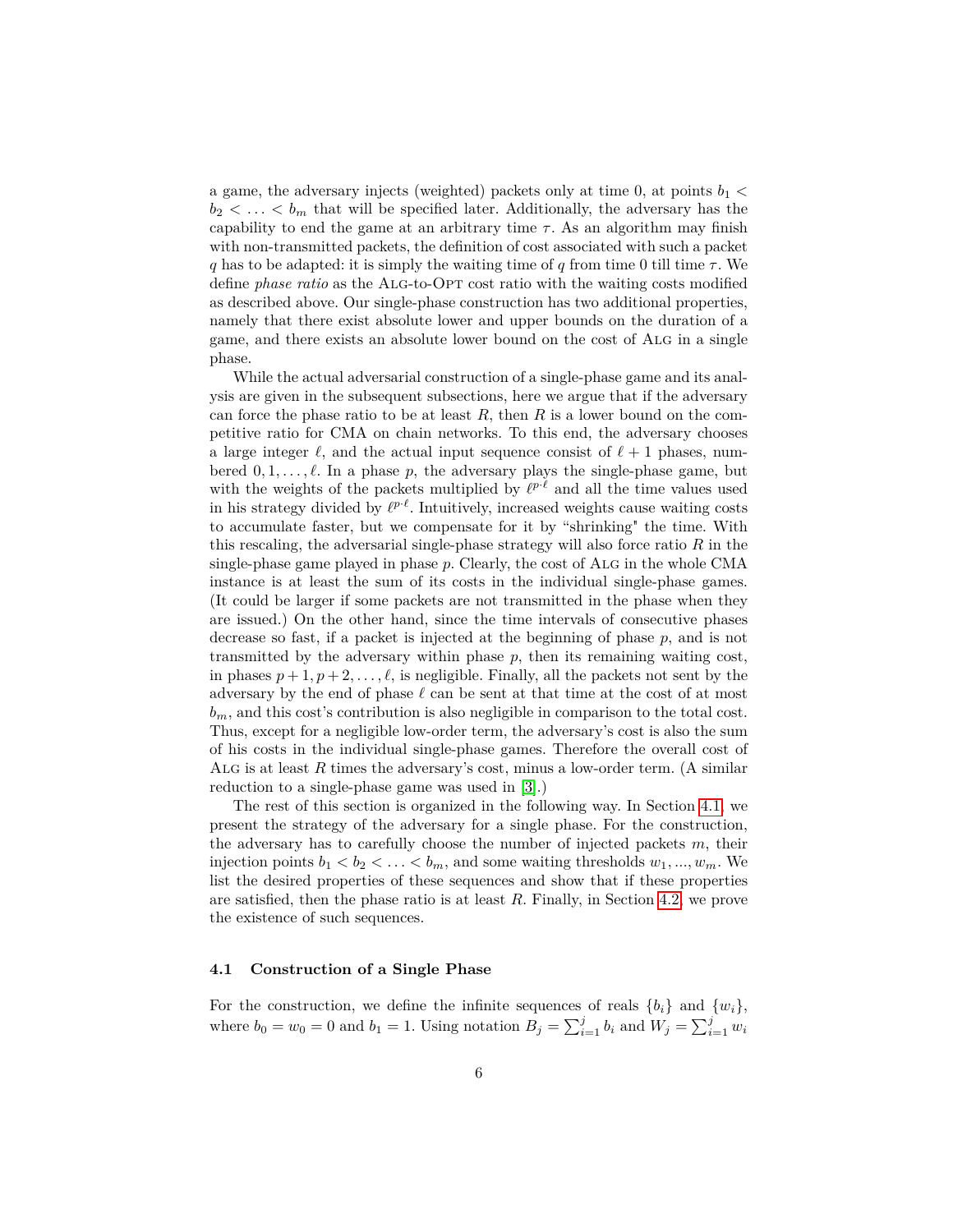a game, the adversary injects (weighted) packets only at time 0, at points  $b_1$   $\lt$  $b_2 < \ldots < b_m$  that will be specified later. Additionally, the adversary has the capability to end the game at an arbitrary time  $\tau$ . As an algorithm may finish with non-transmitted packets, the definition of cost associated with such a packet *q* has to be adapted: it is simply the waiting time of *q* from time 0 till time *τ* . We define *phase ratio* as the Alg-to-Opt cost ratio with the waiting costs modified as described above. Our single-phase construction has two additional properties, namely that there exist absolute lower and upper bounds on the duration of a game, and there exists an absolute lower bound on the cost of Alg in a single phase.

While the actual adversarial construction of a single-phase game and its analysis are given in the subsequent subsections, here we argue that if the adversary can force the phase ratio to be at least *R*, then *R* is a lower bound on the competitive ratio for CMA on chain networks. To this end, the adversary chooses a large integer  $\ell$ , and the actual input sequence consist of  $\ell + 1$  phases, numbered  $0, 1, \ldots, \ell$ . In a phase p, the adversary plays the single-phase game, but with the weights of the packets multiplied by  $\ell^{p \cdot \ell}$  and all the time values used in his strategy divided by  $\ell^{p \cdot \ell}$ . Intuitively, increased weights cause waiting costs to accumulate faster, but we compensate for it by "shrinking" the time. With this rescaling, the adversarial single-phase strategy will also force ratio *R* in the single-phase game played in phase p. Clearly, the cost of ALG in the whole CMA instance is at least the sum of its costs in the individual single-phase games. (It could be larger if some packets are not transmitted in the phase when they are issued.) On the other hand, since the time intervals of consecutive phases decrease so fast, if a packet is injected at the beginning of phase *p*, and is not transmitted by the adversary within phase  $p$ , then its remaining waiting cost, in phases  $p + 1, p + 2, \ldots, \ell$ , is negligible. Finally, all the packets not sent by the adversary by the end of phase  $\ell$  can be sent at that time at the cost of at most  $b_m$ , and this cost's contribution is also negligible in comparison to the total cost. Thus, except for a negligible low-order term, the adversary's cost is also the sum of his costs in the individual single-phase games. Therefore the overall cost of Alg is at least *R* times the adversary's cost, minus a low-order term. (A similar reduction to a single-phase game was used in [\[3\]](#page-11-3).)

The rest of this section is organized in the following way. In Section [4.1,](#page-5-0) we present the strategy of the adversary for a single phase. For the construction, the adversary has to carefully choose the number of injected packets *m*, their injection points  $b_1 < b_2 < \ldots < b_m$ , and some waiting thresholds  $w_1, ..., w_m$ . We list the desired properties of these sequences and show that if these properties are satisfied, then the phase ratio is at least *R*. Finally, in Section [4.2,](#page-8-0) we prove the existence of such sequences.

#### <span id="page-5-0"></span>**4.1 Construction of a Single Phase**

For the construction, we define the infinite sequences of reals  $\{b_i\}$  and  $\{w_i\}$ , where  $b_0 = w_0 = 0$  and  $b_1 = 1$ . Using notation  $B_j = \sum_{i=1}^j b_i$  and  $W_j = \sum_{i=1}^j w_i$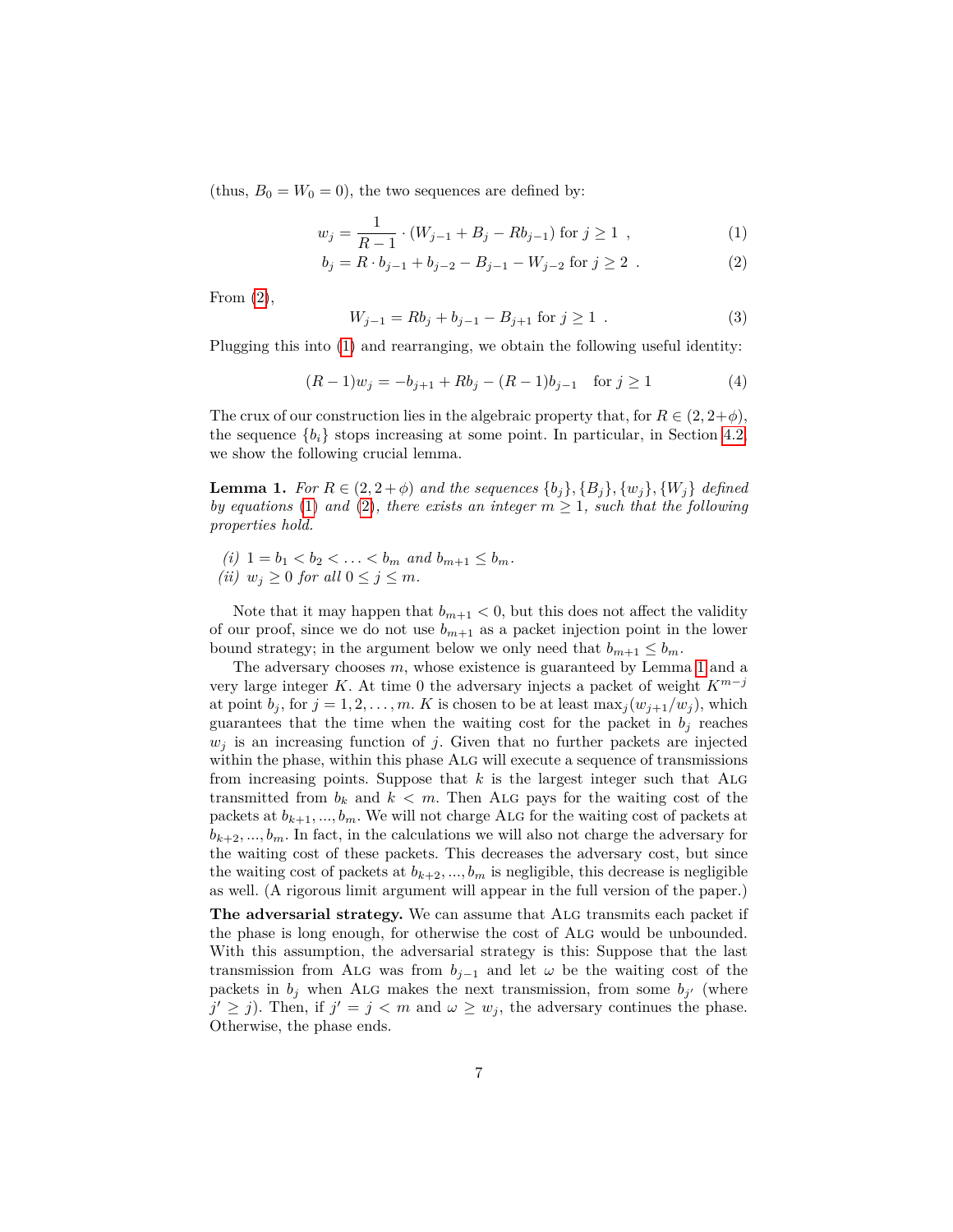(thus,  $B_0 = W_0 = 0$ ), the two sequences are defined by:

$$
w_j = \frac{1}{R-1} \cdot (W_{j-1} + B_j - Rb_{j-1}) \text{ for } j \ge 1 ,
$$
 (1)

<span id="page-6-0"></span>
$$
b_j = R \cdot b_{j-1} + b_{j-2} - B_{j-1} - W_{j-2} \text{ for } j \ge 2 . \tag{2}
$$

From  $(2)$ ,

<span id="page-6-3"></span>
$$
W_{j-1} = Rb_j + b_{j-1} - B_{j+1} \text{ for } j \ge 1 . \tag{3}
$$

Plugging this into [\(1\)](#page-6-0) and rearranging, we obtain the following useful identity:

<span id="page-6-2"></span>
$$
(R-1)w_j = -b_{j+1} + Rb_j - (R-1)b_{j-1} \quad \text{for } j \ge 1
$$
 (4)

The crux of our construction lies in the algebraic property that, for  $R \in (2, 2+\phi)$ , the sequence  ${b_i}$  stops increasing at some point. In particular, in Section [4.2,](#page-8-0) we show the following crucial lemma.

<span id="page-6-1"></span>**Lemma 1.** For  $R \in (2, 2 + \phi)$  and the sequences  $\{b_j\}$ ,  $\{B_j\}$ ,  $\{w_j\}$ ,  $\{W_j\}$  defined *by equations* [\(1\)](#page-6-0) and [\(2\)](#page-6-0), there exists an integer  $m \geq 1$ , such that the following *properties hold.*

(i) 
$$
1 = b_1 < b_2 < \ldots < b_m
$$
 and  $b_{m+1} \leq b_m$ . (ii)  $w_j \geq 0$  for all  $0 \leq j \leq m$ .

Note that it may happen that  $b_{m+1} < 0$ , but this does not affect the validity of our proof, since we do not use  $b_{m+1}$  as a packet injection point in the lower bound strategy; in the argument below we only need that  $b_{m+1} \leq b_m$ .

The adversary chooses *m*, whose existence is guaranteed by Lemma [1](#page-6-1) and a very large integer *K*. At time 0 the adversary injects a packet of weight *Km*−*<sup>j</sup>* at point  $b_j$ , for  $j = 1, 2, \ldots, m$ . *K* is chosen to be at least max<sub>j</sub> $(w_{j+1}/w_j)$ , which guarantees that the time when the waiting cost for the packet in  $b_j$  reaches  $w_j$  is an increasing function of *j*. Given that no further packets are injected within the phase, within this phase Alg will execute a sequence of transmissions from increasing points. Suppose that *k* is the largest integer such that Alg transmitted from  $b_k$  and  $k < m$ . Then ALG pays for the waiting cost of the packets at  $b_{k+1},...,b_m$ . We will not charge ALG for the waiting cost of packets at  $b_{k+2},...,b_m$ . In fact, in the calculations we will also not charge the adversary for the waiting cost of these packets. This decreases the adversary cost, but since the waiting cost of packets at  $b_{k+2},...,b_m$  is negligible, this decrease is negligible as well. (A rigorous limit argument will appear in the full version of the paper.)

The adversarial strategy. We can assume that ALG transmits each packet if the phase is long enough, for otherwise the cost of Alg would be unbounded. With this assumption, the adversarial strategy is this: Suppose that the last transmission from ALG was from  $b_{j-1}$  and let  $\omega$  be the waiting cost of the packets in  $b_j$  when ALG makes the next transmission, from some  $b_{j'}$  (where  $j' \geq j$ ). Then, if  $j' = j < m$  and  $\omega \geq w_j$ , the adversary continues the phase. Otherwise, the phase ends.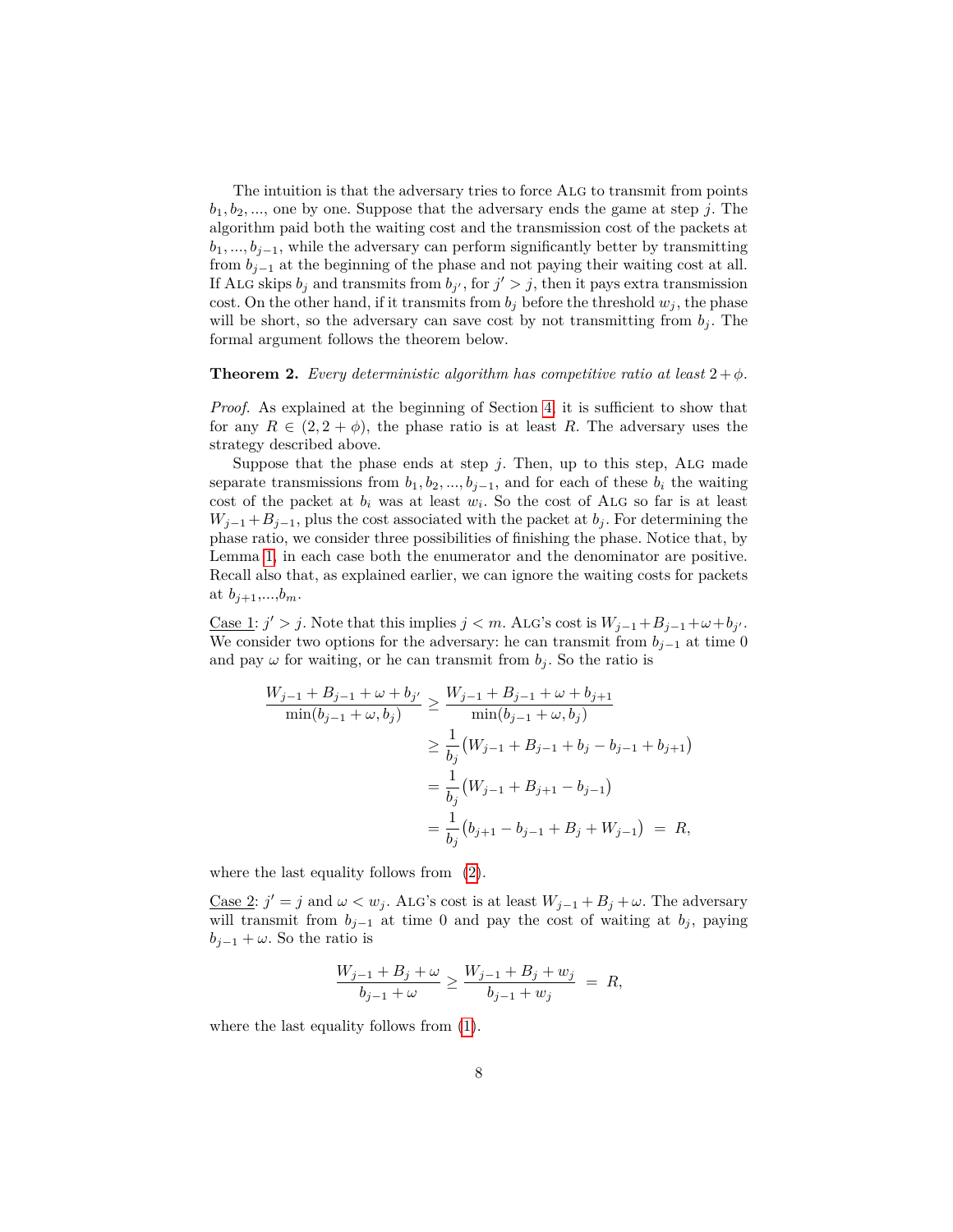The intuition is that the adversary tries to force ALG to transmit from points  $b_1, b_2, \ldots$ , one by one. Suppose that the adversary ends the game at step *j*. The algorithm paid both the waiting cost and the transmission cost of the packets at  $b_1, \ldots, b_{i-1}$ , while the adversary can perform significantly better by transmitting from  $b_{i-1}$  at the beginning of the phase and not paying their waiting cost at all. If ALG skips  $b_j$  and transmits from  $b_{j'}$ , for  $j' > j$ , then it pays extra transmission cost. On the other hand, if it transmits from  $b_j$  before the threshold  $w_j$ , the phase will be short, so the adversary can save cost by not transmitting from  $b_j$ . The formal argument follows the theorem below.

#### **Theorem 2.** *Every deterministic algorithm has competitive ratio at least*  $2 + \phi$ *.*

*Proof.* As explained at the beginning of Section [4,](#page-4-0) it is sufficient to show that for any  $R \in (2, 2 + \phi)$ , the phase ratio is at least R. The adversary uses the strategy described above.

Suppose that the phase ends at step  $j$ . Then, up to this step, ALG made separate transmissions from  $b_1, b_2, ..., b_{j-1}$ , and for each of these  $b_i$  the waiting cost of the packet at  $b_i$  was at least  $w_i$ . So the cost of ALG so far is at least  $W_{j-1} + B_{j-1}$ , plus the cost associated with the packet at *b<sub>j</sub>*. For determining the phase ratio, we consider three possibilities of finishing the phase. Notice that, by Lemma [1,](#page-6-1) in each case both the enumerator and the denominator are positive. Recall also that, as explained earlier, we can ignore the waiting costs for packets at  $b_{j+1},...,b_m$ .

Case 1:  $j' > j$ . Note that this implies  $j < m$ . ALG's cost is  $W_{j-1} + B_{j-1} + \omega + b_j$ . We consider two options for the adversary: he can transmit from  $b_{j-1}$  at time 0 and pay  $\omega$  for waiting, or he can transmit from  $b_j$ . So the ratio is

$$
\frac{W_{j-1} + B_{j-1} + \omega + b_{j'}}{\min(b_{j-1} + \omega, b_j)} \ge \frac{W_{j-1} + B_{j-1} + \omega + b_{j+1}}{\min(b_{j-1} + \omega, b_j)}
$$
  
\n
$$
\ge \frac{1}{b_j} (W_{j-1} + B_{j-1} + b_j - b_{j-1} + b_{j+1})
$$
  
\n
$$
= \frac{1}{b_j} (W_{j-1} + B_{j+1} - b_{j-1})
$$
  
\n
$$
= \frac{1}{b_j} (b_{j+1} - b_{j-1} + B_j + W_{j-1}) = R,
$$

where the last equality follows from [\(2\)](#page-6-0).

Case 2:  $j' = j$  and  $\omega < w_j$ . ALG's cost is at least  $W_{j-1} + B_j + \omega$ . The adversary will transmit from  $b_{j-1}$  at time 0 and pay the cost of waiting at  $b_j$ , paying  $b_{j-1} + \omega$ . So the ratio is

$$
\frac{W_{j-1} + B_j + \omega}{b_{j-1} + \omega} \ge \frac{W_{j-1} + B_j + w_j}{b_{j-1} + w_j} = R,
$$

where the last equality follows from [\(1\)](#page-6-0).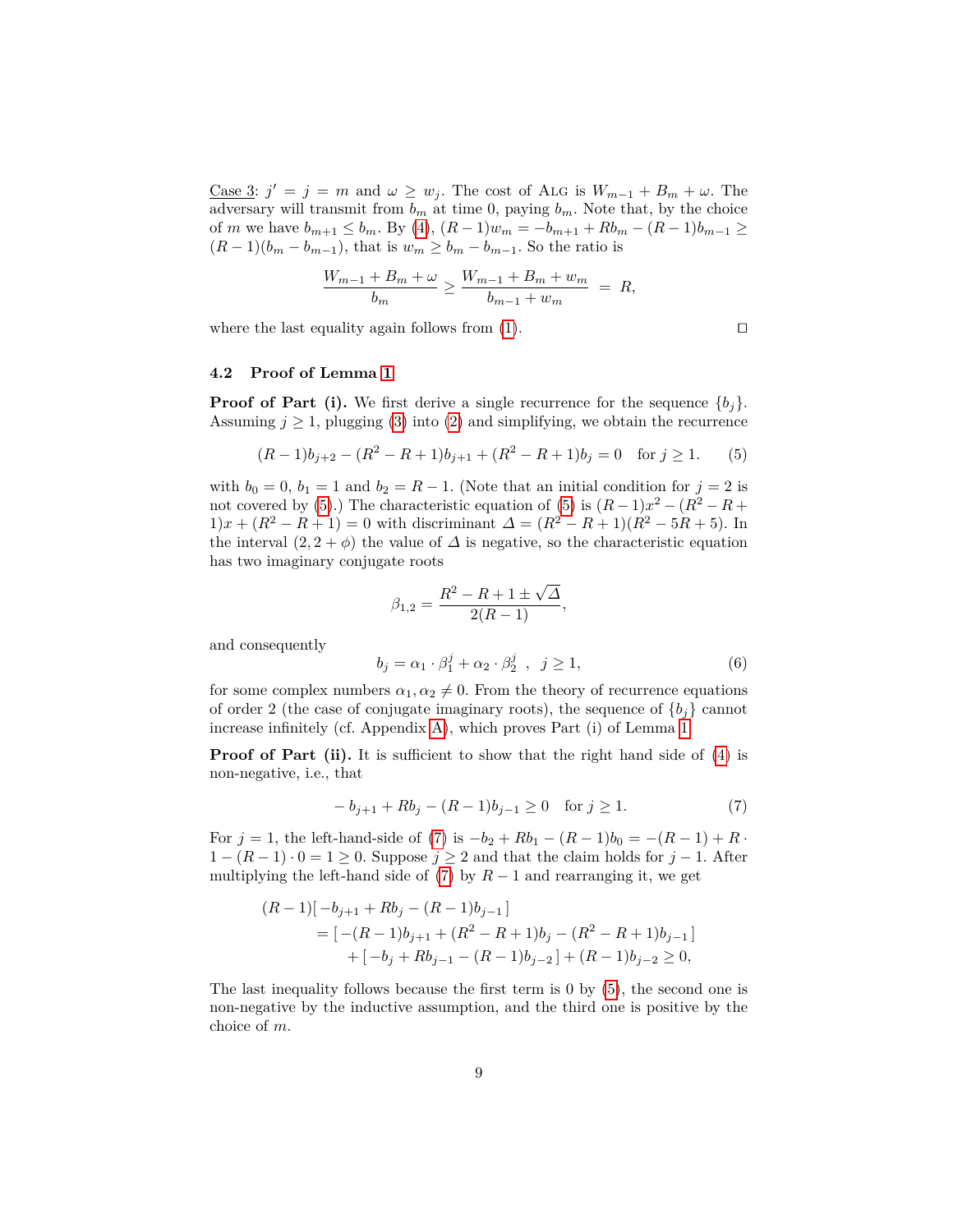Case 3:  $j' = j = m$  and  $\omega \geq w_j$ . The cost of ALG is  $W_{m-1} + B_m + \omega$ . The adversary will transmit from  $b_m$  at time 0, paying  $b_m$ . Note that, by the choice of *m* we have  $b_{m+1} \leq b_m$ . By [\(4\)](#page-6-2),  $(R-1)w_m = -b_{m+1} + Rb_m - (R-1)b_{m-1} \geq$  $(R-1)(b_m - b_{m-1})$ , that is  $w_m \geq b_m - b_{m-1}$ . So the ratio is

$$
\frac{W_{m-1} + B_m + \omega}{b_m} \ge \frac{W_{m-1} + B_m + w_m}{b_{m-1} + w_m} = R,
$$

where the last equality again follows from  $(1)$ .

$$
\Box
$$

#### <span id="page-8-0"></span>**4.2 Proof of Lemma [1](#page-6-1)**

**Proof of Part (i).** We first derive a single recurrence for the sequence  $\{b_i\}$ . Assuming  $j \geq 1$ , plugging [\(3\)](#page-6-3) into [\(2\)](#page-6-0) and simplifying, we obtain the recurrence

<span id="page-8-1"></span>
$$
(R-1)b_{j+2} - (R^2 - R + 1)b_{j+1} + (R^2 - R + 1)b_j = 0 \text{ for } j \ge 1.
$$
 (5)

with  $b_0 = 0$ ,  $b_1 = 1$  and  $b_2 = R - 1$ . (Note that an initial condition for  $j = 2$  is not covered by [\(5\)](#page-8-1).) The characteristic equation of (5) is  $(R-1)x^2 - (R^2 - R +$  $1)x + (R^2 - R + 1) = 0$  with discriminant  $\Delta = (R^2 - R + 1)(R^2 - 5R + 5)$ . In the interval  $(2, 2 + \phi)$  the value of  $\Delta$  is negative, so the characteristic equation has two imaginary conjugate roots

<span id="page-8-3"></span>
$$
\beta_{1,2} = \frac{R^2 - R + 1 \pm \sqrt{\Delta}}{2(R - 1)},
$$
  

$$
b_j = \alpha_1 \cdot \beta_1^j + \alpha_2 \cdot \beta_2^j , \ j \ge 1,
$$
 (6)

and consequently

for some complex numbers  $\alpha_1, \alpha_2 \neq 0$ . From the theory of recurrence equations of order 2 (the case of conjugate imaginary roots), the sequence of  ${b_i}$  cannot

**Proof of Part (ii).** It is sufficient to show that the right hand side of [\(4\)](#page-6-2) is non-negative, i.e., that

increase infinitely (cf. Appendix [A\)](#page-11-7), which proves Part (i) of Lemma [1.](#page-6-1)

<span id="page-8-2"></span>
$$
-b_{j+1} + Rb_j - (R-1)b_{j-1} \ge 0 \quad \text{for } j \ge 1.
$$
 (7)

For  $j = 1$ , the left-hand-side of [\(7\)](#page-8-2) is  $-b_2 + Rb_1 - (R-1)b_0 = -(R-1) + R$ .  $1 - (R - 1) \cdot 0 = 1 > 0$ . Suppose  $j > 2$  and that the claim holds for  $j - 1$ . After multiplying the left-hand side of  $(7)$  by  $R-1$  and rearranging it, we get

$$
(R-1)\begin{bmatrix} -b_{j+1} + Rb_j - (R-1)b_{j-1} \end{bmatrix}
$$
  
= 
$$
\begin{bmatrix} -(R-1)b_{j+1} + (R^2 - R + 1)b_j - (R^2 - R + 1)b_{j-1} \end{bmatrix}
$$
  
+ 
$$
\begin{bmatrix} -b_j + Rb_{j-1} - (R-1)b_{j-2} \end{bmatrix} + (R-1)b_{j-2} \ge 0,
$$

The last inequality follows because the first term is 0 by [\(5\)](#page-8-1), the second one is non-negative by the inductive assumption, and the third one is positive by the choice of *m*.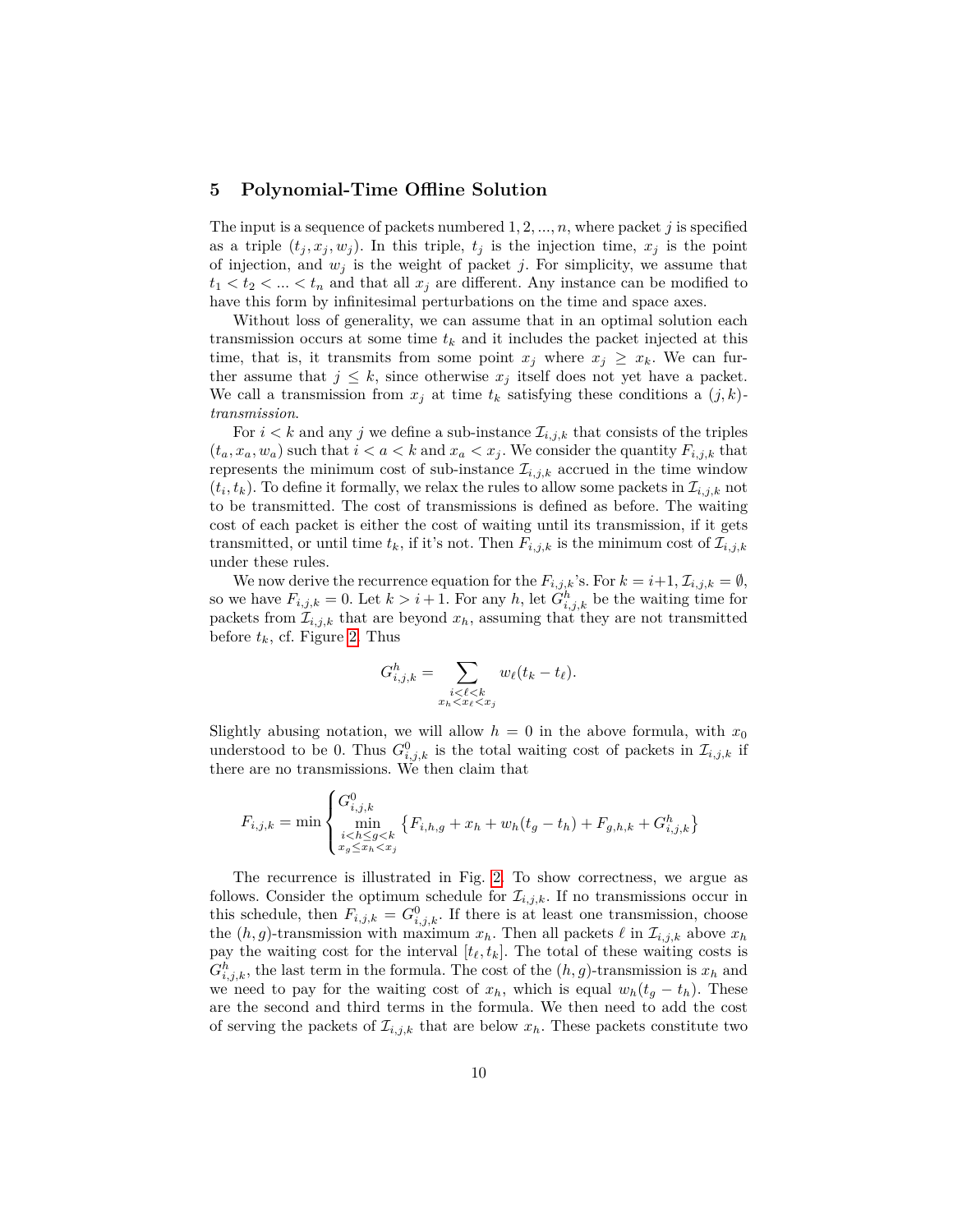### **5 Polynomial-Time Offline Solution**

The input is a sequence of packets numbered 1*,* 2*, ..., n*, where packet *j* is specified as a triple  $(t_j, x_j, w_j)$ . In this triple,  $t_j$  is the injection time,  $x_j$  is the point of injection, and  $w_j$  is the weight of packet *j*. For simplicity, we assume that  $t_1 < t_2 < \ldots < t_n$  and that all  $x_j$  are different. Any instance can be modified to have this form by infinitesimal perturbations on the time and space axes.

Without loss of generality, we can assume that in an optimal solution each transmission occurs at some time  $t_k$  and it includes the packet injected at this time, that is, it transmits from some point  $x_j$  where  $x_j \geq x_k$ . We can further assume that  $j \leq k$ , since otherwise  $x_j$  itself does not yet have a packet. We call a transmission from  $x_j$  at time  $t_k$  satisfying these conditions a  $(j, k)$ *transmission*.

For  $i < k$  and any j we define a sub-instance  $\mathcal{I}_{i,j,k}$  that consists of the triples  $(t_a, x_a, w_a)$  such that  $i < a < k$  and  $x_a < x_j$ . We consider the quantity  $F_{i,j,k}$  that represents the minimum cost of sub-instance  $\mathcal{I}_{i,j,k}$  accrued in the time window  $(t_i, t_k)$ . To define it formally, we relax the rules to allow some packets in  $\mathcal{I}_{i,j,k}$  not to be transmitted. The cost of transmissions is defined as before. The waiting cost of each packet is either the cost of waiting until its transmission, if it gets transmitted, or until time  $t_k$ , if it's not. Then  $F_{i,j,k}$  is the minimum cost of  $\mathcal{I}_{i,j,k}$ under these rules.

We now derive the recurrence equation for the  $F_{i,j,k}$ 's. For  $k = i+1, \mathcal{I}_{i,j,k} = \emptyset$ , so we have  $F_{i,j,k} = 0$ . Let  $k > i + 1$ . For any h, let  $G_{i,j,k}^h$  be the waiting time for packets from  $\mathcal{I}_{i,j,k}$  that are beyond  $x_h$ , assuming that they are not transmitted before  $t_k$ , cf. Figure [2.](#page-10-2) Thus

$$
G_{i,j,k}^h = \sum_{\substack{i < \ell < k \\ x_h < x_\ell < x_j}} w_\ell(t_k - t_\ell).
$$

Slightly abusing notation, we will allow  $h = 0$  in the above formula, with  $x_0$ understood to be 0. Thus  $G_{i,j,k}^0$  is the total waiting cost of packets in  $\mathcal{I}_{i,j,k}$  if there are no transmissions. We then claim that

$$
F_{i,j,k} = \min \begin{cases} G_{i,j,k}^0 \\ \min_{\substack{i < h \le g < k \\ x_g \le x_h < x_j}} \{ F_{i,h,g} + x_h + w_h(t_g - t_h) + F_{g,h,k} + G_{i,j,k}^h \} \end{cases}
$$

 $\overline{\phantom{a}}$ 

The recurrence is illustrated in Fig. [2.](#page-10-2) To show correctness, we argue as follows. Consider the optimum schedule for  $\mathcal{I}_{i,j,k}$ . If no transmissions occur in this schedule, then  $F_{i,j,k} = G^0_{i,j,k}$ . If there is at least one transmission, choose the  $(h, g)$ -transmission with maximum  $x_h$ . Then all packets  $\ell$  in  $\mathcal{I}_{i,j,k}$  above  $x_h$ pay the waiting cost for the interval  $[t_\ell, t_k]$ . The total of these waiting costs is  $G_{i,j,k}^h$ , the last term in the formula. The cost of the  $(h, g)$ -transmission is  $x_h$  and we need to pay for the waiting cost of  $x_h$ , which is equal  $w_h(t_g - t_h)$ . These are the second and third terms in the formula. We then need to add the cost of serving the packets of  $\mathcal{I}_{i,j,k}$  that are below  $x_h$ . These packets constitute two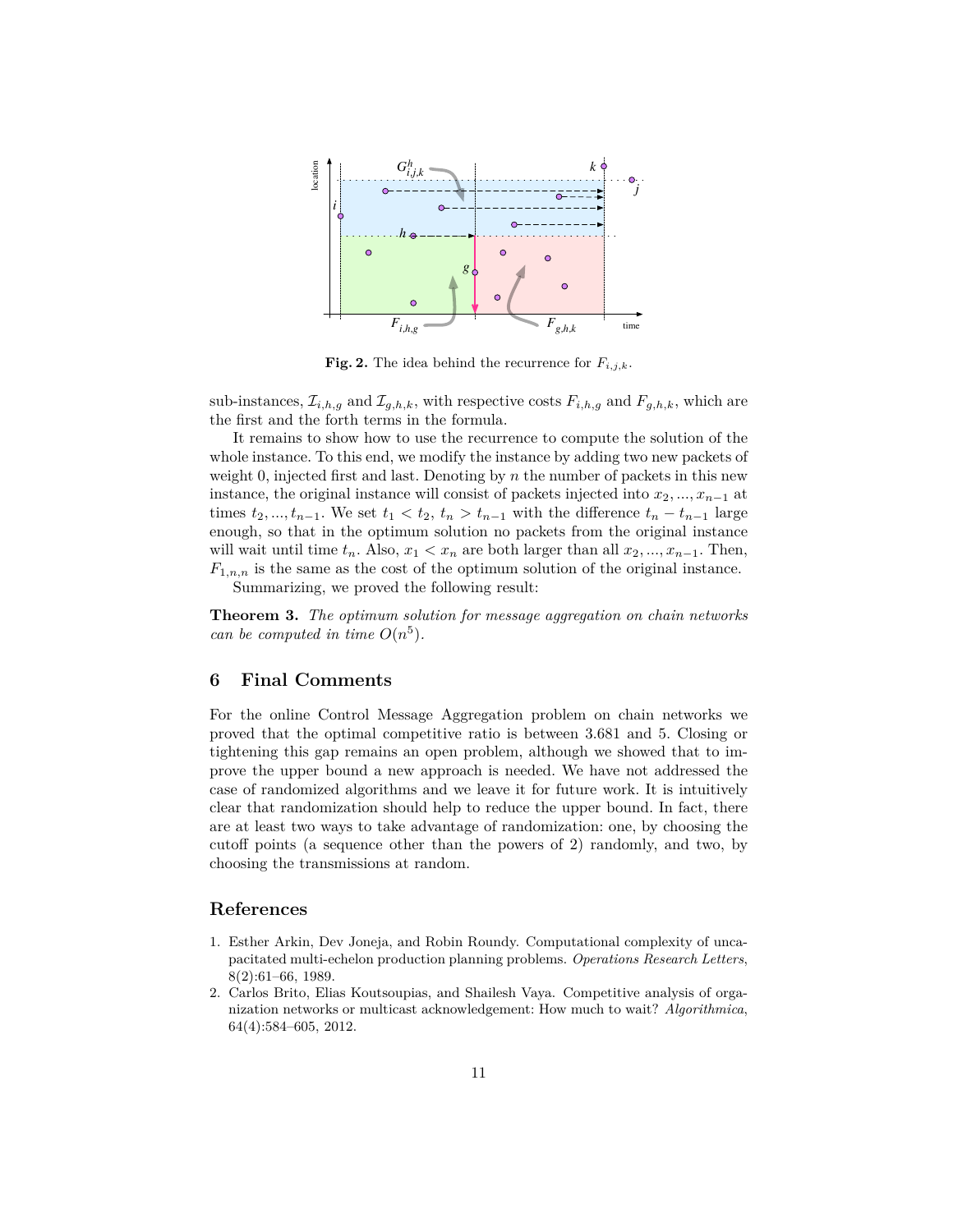

<span id="page-10-2"></span>**Fig. 2.** The idea behind the recurrence for  $F_{i,j,k}$ .

sub-instances,  $\mathcal{I}_{i,h,g}$  and  $\mathcal{I}_{g,h,k}$ , with respective costs  $F_{i,h,g}$  and  $F_{g,h,k}$ , which are the first and the forth terms in the formula.

It remains to show how to use the recurrence to compute the solution of the whole instance. To this end, we modify the instance by adding two new packets of weight 0, injected first and last. Denoting by *n* the number of packets in this new instance, the original instance will consist of packets injected into  $x_2, ..., x_{n-1}$  at times  $t_2, \ldots, t_{n-1}$ . We set  $t_1 < t_2, t_n > t_{n-1}$  with the difference  $t_n - t_{n-1}$  large enough, so that in the optimum solution no packets from the original instance will wait until time  $t_n$ . Also,  $x_1 < x_n$  are both larger than all  $x_2, ..., x_{n-1}$ . Then,  $F_{1,n,n}$  is the same as the cost of the optimum solution of the original instance.

Summarizing, we proved the following result:

**Theorem 3.** *The optimum solution for message aggregation on chain networks can be computed in time*  $O(n^5)$ *.* 

## **6 Final Comments**

For the online Control Message Aggregation problem on chain networks we proved that the optimal competitive ratio is between 3*.*681 and 5. Closing or tightening this gap remains an open problem, although we showed that to improve the upper bound a new approach is needed. We have not addressed the case of randomized algorithms and we leave it for future work. It is intuitively clear that randomization should help to reduce the upper bound. In fact, there are at least two ways to take advantage of randomization: one, by choosing the cutoff points (a sequence other than the powers of 2) randomly, and two, by choosing the transmissions at random.

## **References**

- <span id="page-10-1"></span>1. Esther Arkin, Dev Joneja, and Robin Roundy. Computational complexity of uncapacitated multi-echelon production planning problems. *Operations Research Letters*, 8(2):61–66, 1989.
- <span id="page-10-0"></span>2. Carlos Brito, Elias Koutsoupias, and Shailesh Vaya. Competitive analysis of organization networks or multicast acknowledgement: How much to wait? *Algorithmica*, 64(4):584–605, 2012.